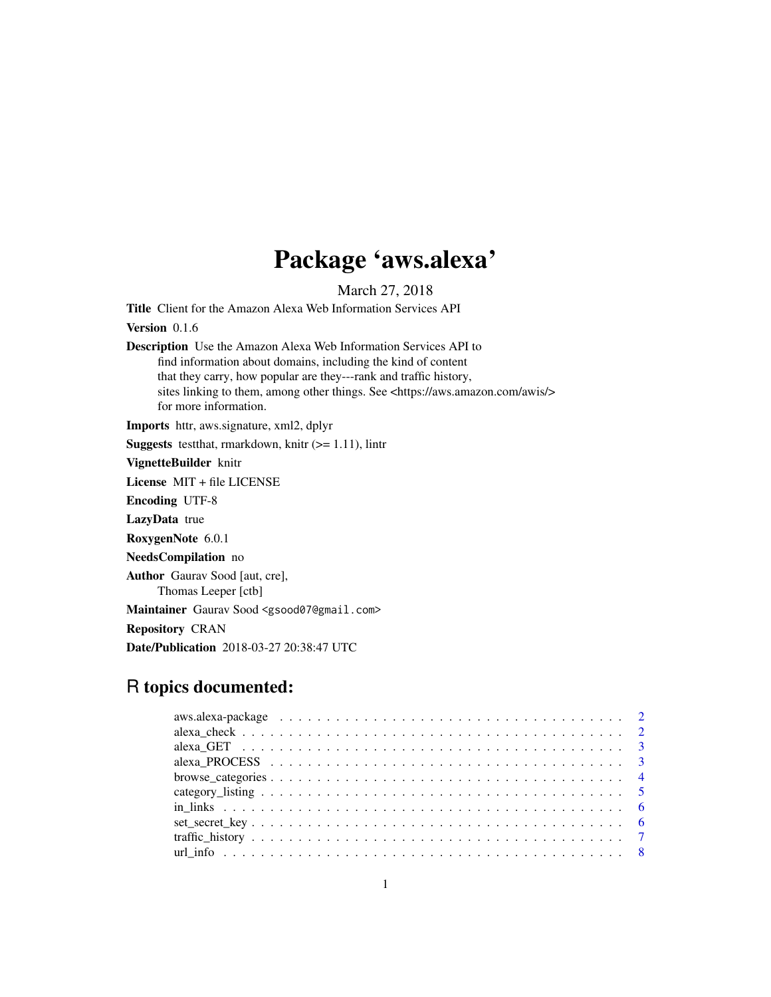## Package 'aws.alexa'

March 27, 2018

<span id="page-0-0"></span>Title Client for the Amazon Alexa Web Information Services API

Version 0.1.6

Description Use the Amazon Alexa Web Information Services API to find information about domains, including the kind of content that they carry, how popular are they---rank and traffic history, sites linking to them, among other things. See <https://aws.amazon.com/awis/> for more information.

Imports httr, aws.signature, xml2, dplyr

**Suggests** test that, rmarkdown, knitr  $(>= 1.11)$ , lintr

VignetteBuilder knitr

License MIT + file LICENSE

Encoding UTF-8

LazyData true

RoxygenNote 6.0.1

NeedsCompilation no

Author Gaurav Sood [aut, cre],

Thomas Leeper [ctb]

Maintainer Gaurav Sood <gsood07@gmail.com>

Repository CRAN

Date/Publication 2018-03-27 20:38:47 UTC

## R topics documented:

| aws.alexa-package $\ldots \ldots \ldots \ldots \ldots \ldots \ldots \ldots \ldots \ldots \ldots \ldots \ldots$ |  |
|----------------------------------------------------------------------------------------------------------------|--|
|                                                                                                                |  |
|                                                                                                                |  |
|                                                                                                                |  |
|                                                                                                                |  |
|                                                                                                                |  |
|                                                                                                                |  |
|                                                                                                                |  |
|                                                                                                                |  |
|                                                                                                                |  |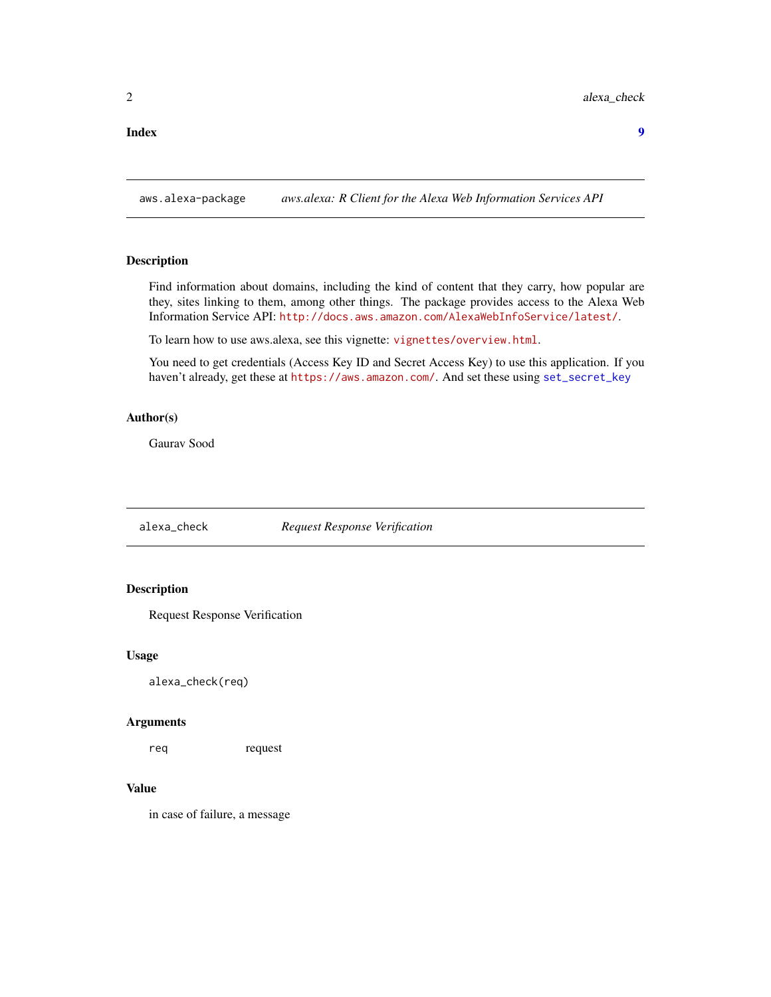#### <span id="page-1-0"></span>**Index** [9](#page-8-0)

aws.alexa-package *aws.alexa: R Client for the Alexa Web Information Services API*

## Description

Find information about domains, including the kind of content that they carry, how popular are they, sites linking to them, among other things. The package provides access to the Alexa Web Information Service API: <http://docs.aws.amazon.com/AlexaWebInfoService/latest/>.

To learn how to use aws.alexa, see this vignette: <vignettes/overview.html>.

You need to get credentials (Access Key ID and Secret Access Key) to use this application. If you haven't already, get these at <https://aws.amazon.com/>. And set these using [set\\_secret\\_key](#page-5-1)

#### Author(s)

Gaurav Sood

alexa\_check *Request Response Verification*

#### Description

Request Response Verification

#### Usage

alexa\_check(req)

#### Arguments

req request

#### Value

in case of failure, a message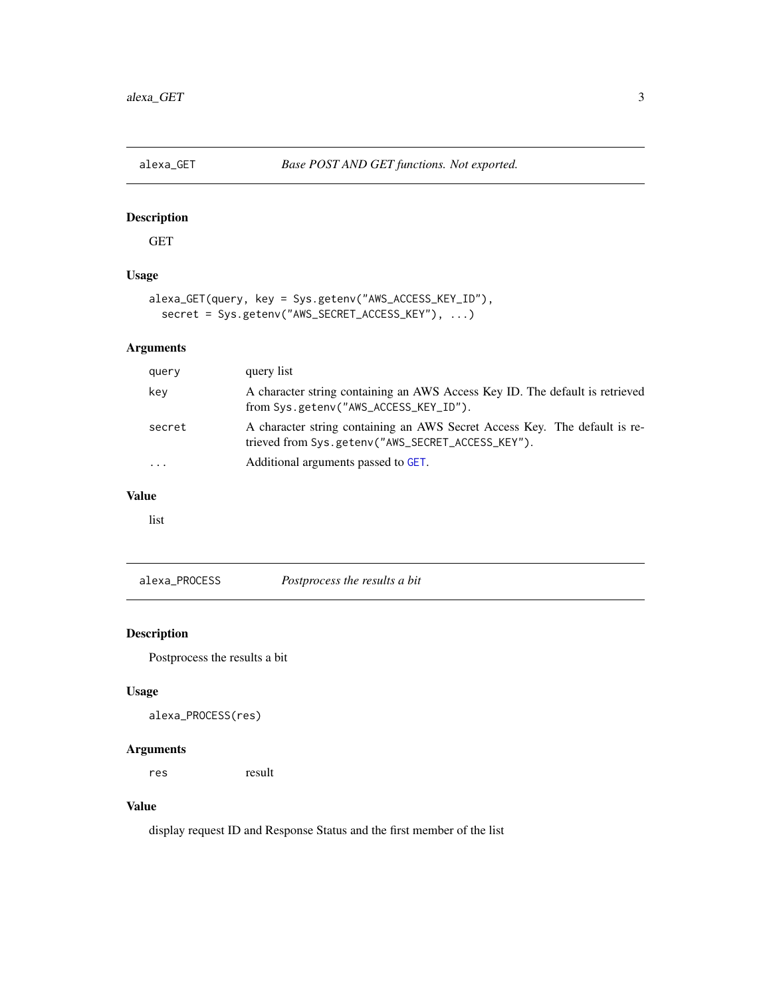<span id="page-2-1"></span><span id="page-2-0"></span>

#### Description

GET

## Usage

```
alexa_GET(query, key = Sys.getenv("AWS_ACCESS_KEY_ID"),
  secret = Sys.getenv("AWS_SECRET_ACCESS_KEY"), ...)
```
#### Arguments

| query     | query list                                                                                                                      |
|-----------|---------------------------------------------------------------------------------------------------------------------------------|
| key       | A character string containing an AWS Access Key ID. The default is retrieved<br>from Sys.getenv("AWS_ACCESS_KEY_ID").           |
| secret    | A character string containing an AWS Secret Access Key. The default is re-<br>trieved from Sys.getenv("AWS_SECRET_ACCESS_KEY"). |
| $\ddotsc$ | Additional arguments passed to GET.                                                                                             |

#### Value

list

alexa\_PROCESS *Postprocess the results a bit*

#### Description

Postprocess the results a bit

#### Usage

```
alexa_PROCESS(res)
```
#### Arguments

res result

#### Value

display request ID and Response Status and the first member of the list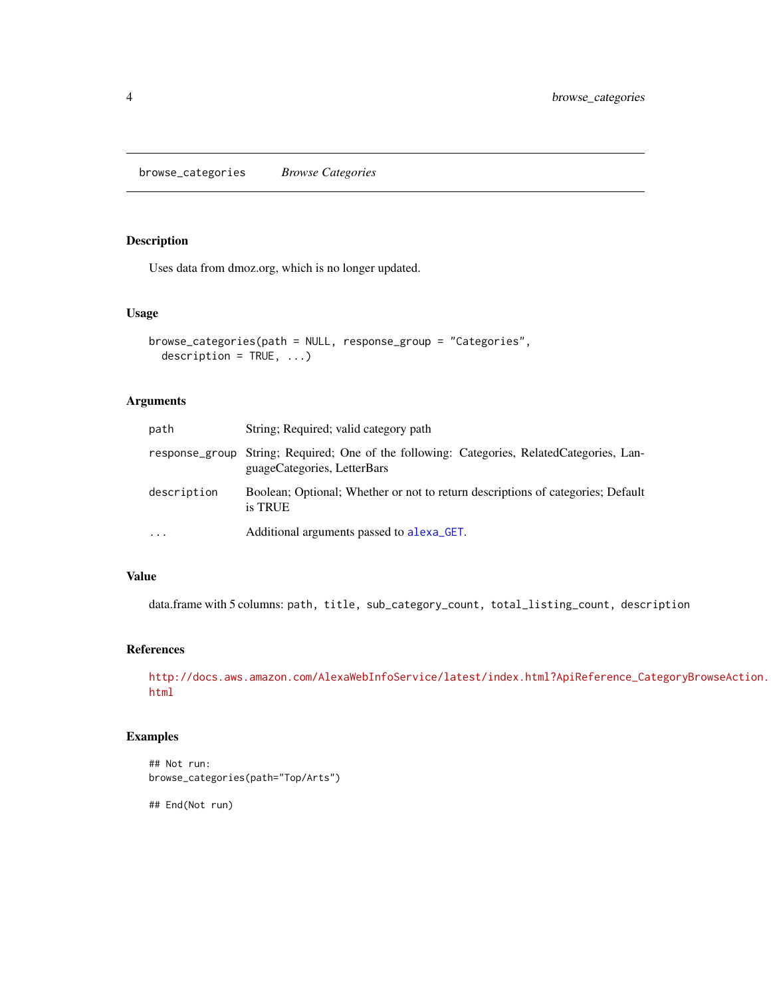<span id="page-3-0"></span>browse\_categories *Browse Categories*

#### Description

Uses data from dmoz.org, which is no longer updated.

#### Usage

```
browse_categories(path = NULL, response_group = "Categories",
  description = TRUE, \ldots)
```
#### Arguments

| path        | String; Required; valid category path                                                                                     |
|-------------|---------------------------------------------------------------------------------------------------------------------------|
|             | response_group String; Required; One of the following: Categories, RelatedCategories, Lan-<br>guageCategories, LetterBars |
| description | Boolean; Optional; Whether or not to return descriptions of categories; Default<br>is TRUE                                |
| $\ddotsc$   | Additional arguments passed to alexa GET.                                                                                 |

#### Value

data.frame with 5 columns: path, title, sub\_category\_count, total\_listing\_count, description

#### References

[http://docs.aws.amazon.com/AlexaWebInfoService/latest/index.html?ApiReference\\_Ca](http://docs.aws.amazon.com/AlexaWebInfoService/latest/index.html?ApiReference_CategoryBrowseAction.html)tegoryBrowseAction. [html](http://docs.aws.amazon.com/AlexaWebInfoService/latest/index.html?ApiReference_CategoryBrowseAction.html)

#### Examples

```
## Not run:
browse_categories(path="Top/Arts")
```
## End(Not run)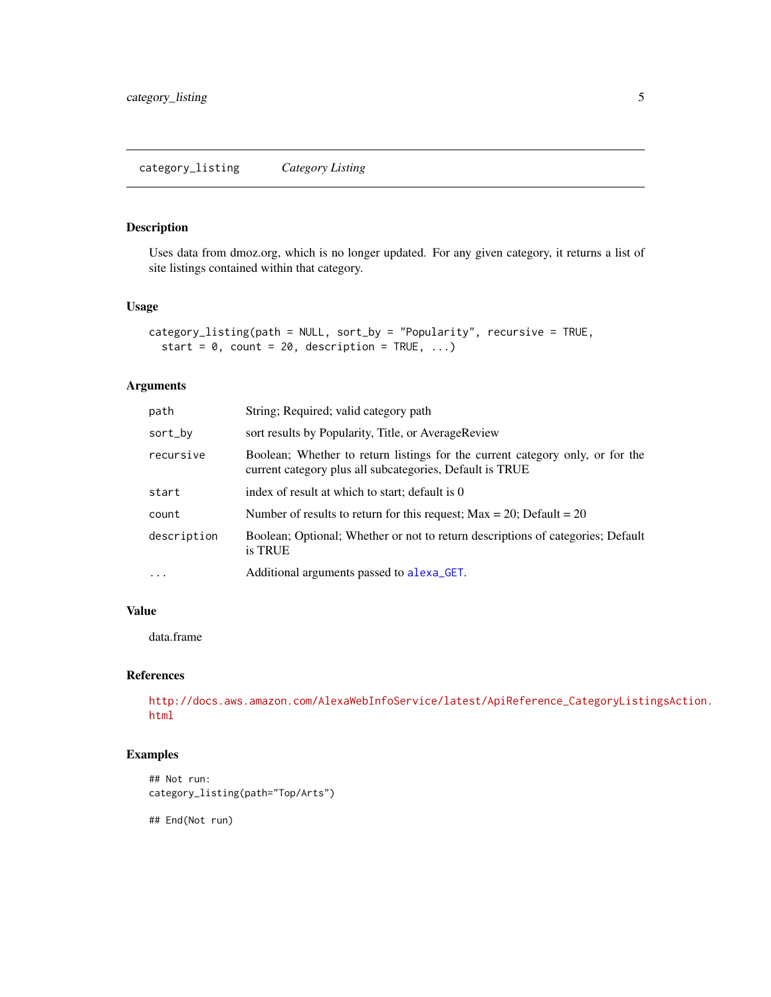<span id="page-4-0"></span>category\_listing *Category Listing*

#### Description

Uses data from dmoz.org, which is no longer updated. For any given category, it returns a list of site listings contained within that category.

#### Usage

```
category_listing(path = NULL, sort_by = "Popularity", recursive = TRUE,
  start = 0, count = 20, description = TRUE, ...)
```
#### Arguments

| path        | String; Required; valid category path                                                                                                     |
|-------------|-------------------------------------------------------------------------------------------------------------------------------------------|
| sort_by     | sort results by Popularity, Title, or AverageReview                                                                                       |
| recursive   | Boolean; Whether to return listings for the current category only, or for the<br>current category plus all subcategories, Default is TRUE |
| start       | index of result at which to start; default is 0                                                                                           |
| count       | Number of results to return for this request; $Max = 20$ ; Default = 20                                                                   |
| description | Boolean; Optional; Whether or not to return descriptions of categories; Default<br>is TRUE                                                |
| $\cdots$    | Additional arguments passed to alexa <sub>-GET</sub> .                                                                                    |

#### Value

data.frame

#### References

[http://docs.aws.amazon.com/AlexaWebInfoService/latest/ApiReference\\_CategoryListi](http://docs.aws.amazon.com/AlexaWebInfoService/latest/ApiReference_CategoryListingsAction.html)ngsAction. [html](http://docs.aws.amazon.com/AlexaWebInfoService/latest/ApiReference_CategoryListingsAction.html)

#### Examples

```
## Not run:
category_listing(path="Top/Arts")
```
## End(Not run)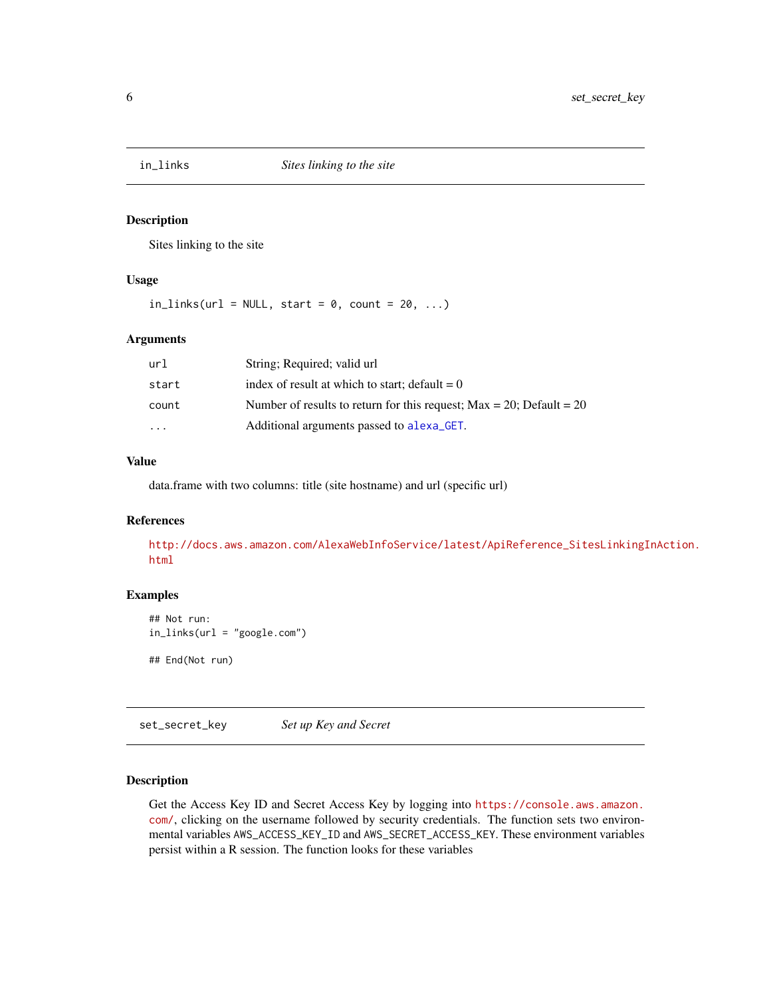<span id="page-5-0"></span>

#### Description

Sites linking to the site

#### Usage

 $in_{\text{links}}(url = NULL, start = 0, count = 20, ...)$ 

#### Arguments

| url     | String; Required; valid url                                             |
|---------|-------------------------------------------------------------------------|
| start   | index of result at which to start; default $= 0$                        |
| count   | Number of results to return for this request; $Max = 20$ ; Default = 20 |
| $\cdot$ | Additional arguments passed to alexa <sub>-GET</sub> .                  |

#### Value

data.frame with two columns: title (site hostname) and url (specific url)

#### References

[http://docs.aws.amazon.com/AlexaWebInfoService/latest/ApiReference\\_SitesLinkingI](http://docs.aws.amazon.com/AlexaWebInfoService/latest/ApiReference_SitesLinkingInAction.html)nAction. [html](http://docs.aws.amazon.com/AlexaWebInfoService/latest/ApiReference_SitesLinkingInAction.html)

#### Examples

```
## Not run:
in_links(url = "google.com")
## End(Not run)
```
<span id="page-5-1"></span>set\_secret\_key *Set up Key and Secret*

#### Description

Get the Access Key ID and Secret Access Key by logging into [https://console.aws.amazon.](https://console.aws.amazon.com/) [com/](https://console.aws.amazon.com/), clicking on the username followed by security credentials. The function sets two environmental variables AWS\_ACCESS\_KEY\_ID and AWS\_SECRET\_ACCESS\_KEY. These environment variables persist within a R session. The function looks for these variables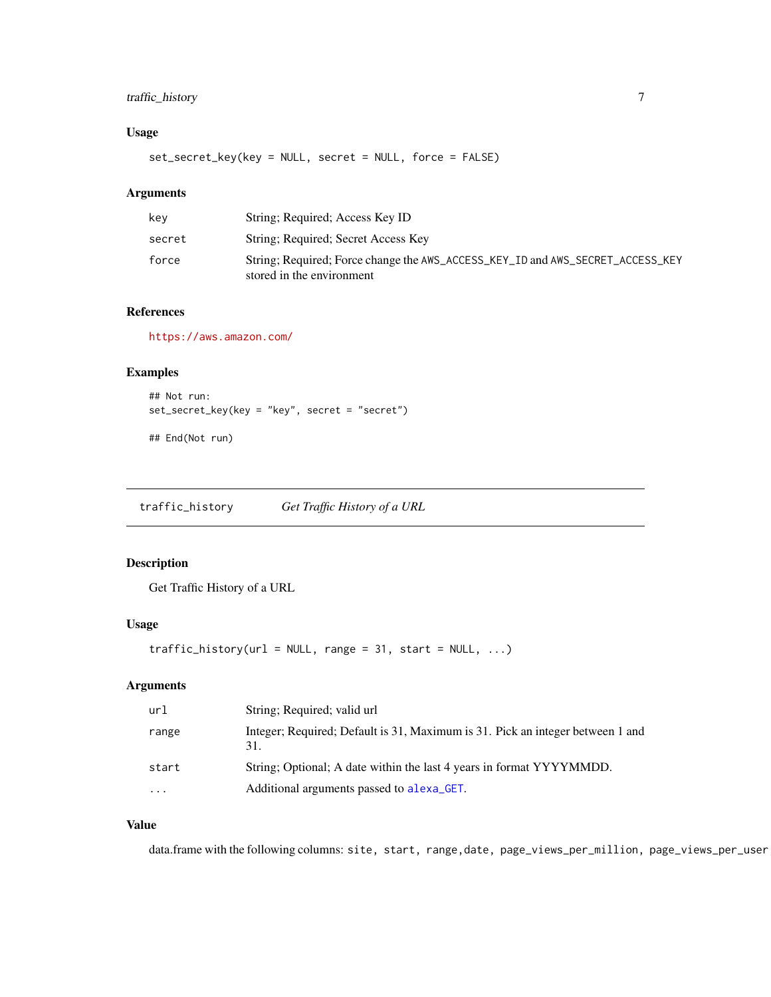## <span id="page-6-0"></span>traffic\_history 7

#### Usage

set\_secret\_key(key = NULL, secret = NULL, force = FALSE)

#### Arguments

| kev    | String: Required: Access Key ID                                                                             |
|--------|-------------------------------------------------------------------------------------------------------------|
| secret | String; Required; Secret Access Key                                                                         |
| force  | String; Required; Force change the AWS_ACCESS_KEY_ID and AWS_SECRET_ACCESS_KEY<br>stored in the environment |

## References

<https://aws.amazon.com/>

#### Examples

```
## Not run:
set_secret_key(key = "key", secret = "secret")
```
## End(Not run)

traffic\_history *Get Traffic History of a URL*

#### Description

Get Traffic History of a URL

#### Usage

```
traffic\_history(url = NULL, range = 31, start = NULL, ...)
```
## Arguments

| url   | String; Required; valid url                                                           |
|-------|---------------------------------------------------------------------------------------|
| range | Integer; Required; Default is 31, Maximum is 31. Pick an integer between 1 and<br>31. |
| start | String; Optional; A date within the last 4 years in format YYYYMMDD.                  |
| .     | Additional arguments passed to alexa GET.                                             |

#### Value

data.frame with the following columns: site, start, range,date, page\_views\_per\_million, page\_views\_per\_user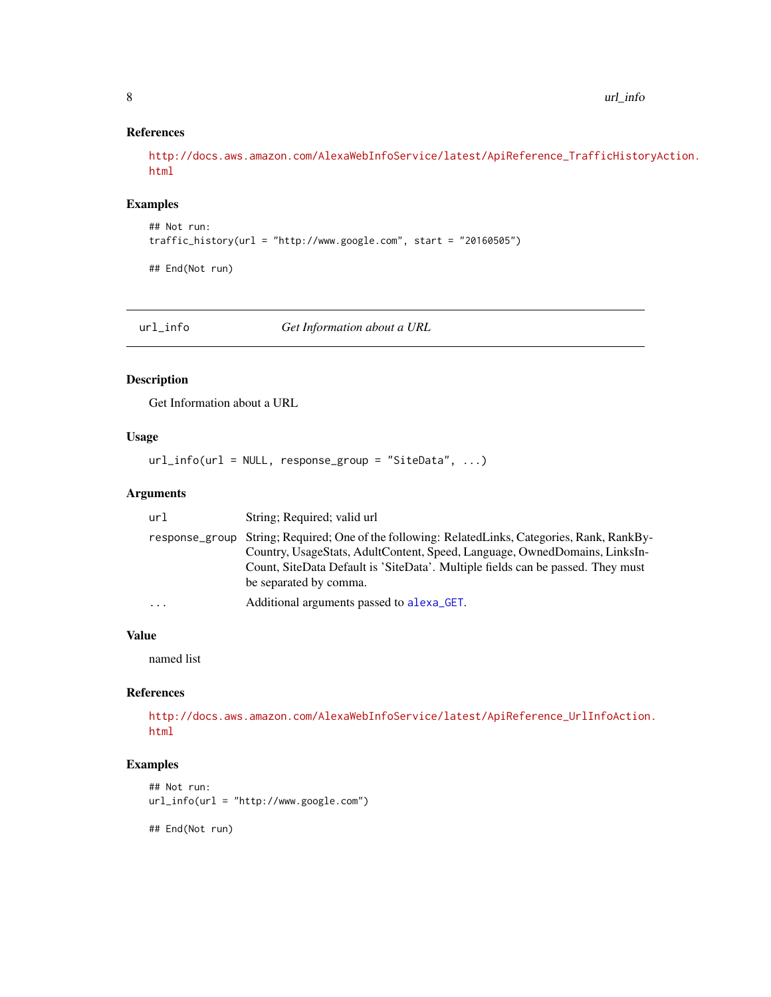#### References

[http://docs.aws.amazon.com/AlexaWebInfoService/latest/ApiReference\\_TrafficHistor](http://docs.aws.amazon.com/AlexaWebInfoService/latest/ApiReference_TrafficHistoryAction.html)yAction. [html](http://docs.aws.amazon.com/AlexaWebInfoService/latest/ApiReference_TrafficHistoryAction.html)

#### Examples

```
## Not run:
traffic_history(url = "http://www.google.com", start = "20160505")
```
## End(Not run)

url\_info *Get Information about a URL*

#### Description

Get Information about a URL

## Usage

 $url_info(url = NULL, response\_group = "SiteData", ...)$ 

#### Arguments

| url      | String; Required; valid url                                                                                                                                                                                                                                                               |
|----------|-------------------------------------------------------------------------------------------------------------------------------------------------------------------------------------------------------------------------------------------------------------------------------------------|
|          | response_group String; Required; One of the following: RelatedLinks, Categories, Rank, RankBy-<br>Country, UsageStats, AdultContent, Speed, Language, OwnedDomains, LinksIn-<br>Count, SiteData Default is 'SiteData'. Multiple fields can be passed. They must<br>be separated by comma. |
| $\ddots$ | Additional arguments passed to alexa <sub>-GET</sub> .                                                                                                                                                                                                                                    |

#### Value

named list

## References

[http://docs.aws.amazon.com/AlexaWebInfoService/latest/ApiReference\\_UrlInfoAction](http://docs.aws.amazon.com/AlexaWebInfoService/latest/ApiReference_UrlInfoAction.html). [html](http://docs.aws.amazon.com/AlexaWebInfoService/latest/ApiReference_UrlInfoAction.html)

#### Examples

```
## Not run:
url_info(url = "http://www.google.com")
```
## End(Not run)

<span id="page-7-0"></span>